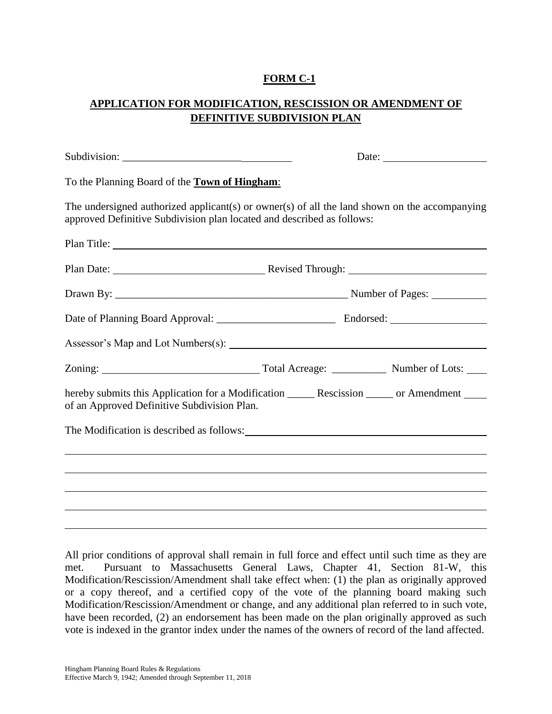## **FORM C-1**

## **APPLICATION FOR MODIFICATION, RESCISSION OR AMENDMENT OF DEFINITIVE SUBDIVISION PLAN**

| To the Planning Board of the <b>Town of Hingham</b> :                                                                                                                   |  |  |  |  |
|-------------------------------------------------------------------------------------------------------------------------------------------------------------------------|--|--|--|--|
| The undersigned authorized applicant(s) or owner(s) of all the land shown on the accompanying<br>approved Definitive Subdivision plan located and described as follows: |  |  |  |  |
| Plan Title:                                                                                                                                                             |  |  |  |  |
|                                                                                                                                                                         |  |  |  |  |
|                                                                                                                                                                         |  |  |  |  |
|                                                                                                                                                                         |  |  |  |  |
|                                                                                                                                                                         |  |  |  |  |
|                                                                                                                                                                         |  |  |  |  |
| hereby submits this Application for a Modification ________ Rescission ______ or Amendment _____<br>of an Approved Definitive Subdivision Plan.                         |  |  |  |  |
| The Modification is described as follows:                                                                                                                               |  |  |  |  |
|                                                                                                                                                                         |  |  |  |  |
|                                                                                                                                                                         |  |  |  |  |
|                                                                                                                                                                         |  |  |  |  |
|                                                                                                                                                                         |  |  |  |  |

All prior conditions of approval shall remain in full force and effect until such time as they are met. Pursuant to Massachusetts General Laws, Chapter 41, Section 81-W, this Modification/Rescission/Amendment shall take effect when: (1) the plan as originally approved or a copy thereof, and a certified copy of the vote of the planning board making such Modification/Rescission/Amendment or change, and any additional plan referred to in such vote, have been recorded, (2) an endorsement has been made on the plan originally approved as such vote is indexed in the grantor index under the names of the owners of record of the land affected.